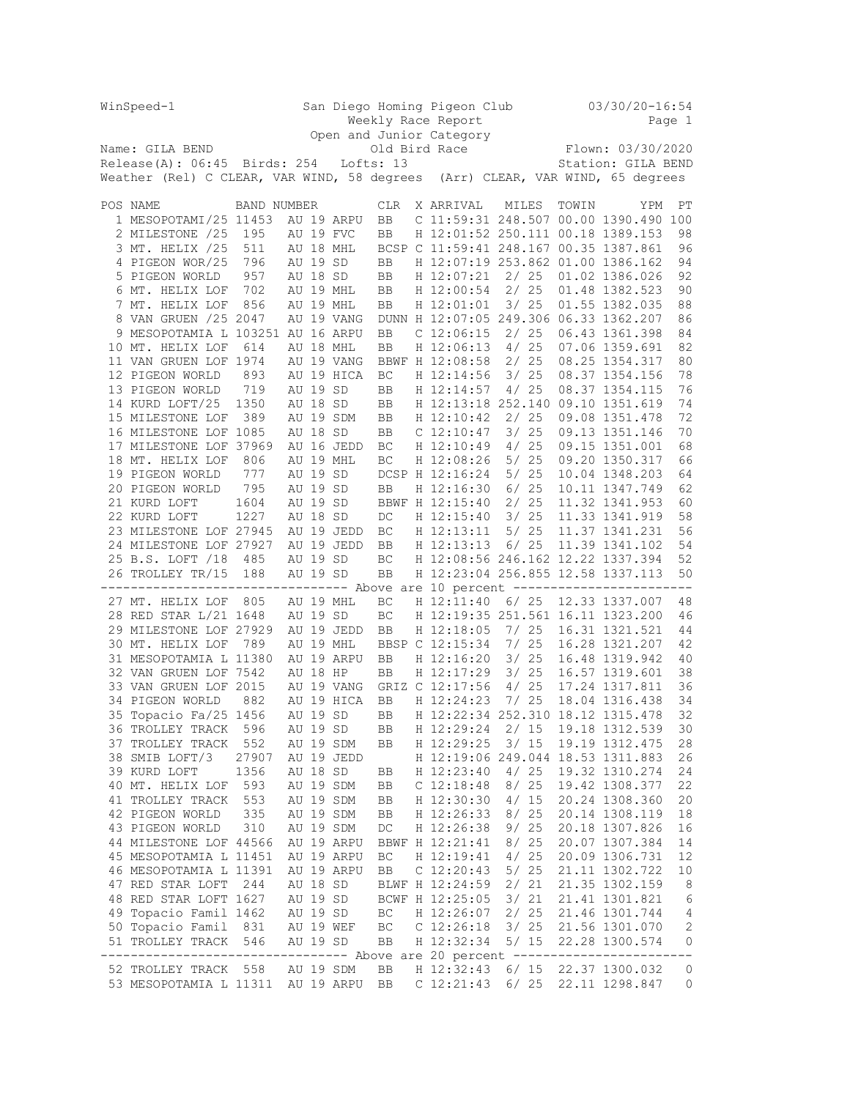| WinSpeed-1                                                                    |                                                                               |             |          | San Diego Homing Pigeon Club |            |            |  |                                                     |                | $03/30/20 - 16:54$ |                                       |              |
|-------------------------------------------------------------------------------|-------------------------------------------------------------------------------|-------------|----------|------------------------------|------------|------------|--|-----------------------------------------------------|----------------|--------------------|---------------------------------------|--------------|
| Weekly Race Report<br>Page 1                                                  |                                                                               |             |          |                              |            |            |  |                                                     |                |                    |                                       |              |
|                                                                               |                                                                               |             |          |                              |            |            |  | Open and Junior Category<br>Dunner<br>Old Bird Race |                |                    | Flown: 03/30/2020                     |              |
|                                                                               | Name: GILA BEND<br>$Release(A): 06:45$ Birds: 254                             |             |          |                              |            | Lofts: 13  |  |                                                     |                |                    | Station: GILA BEND                    |              |
|                                                                               |                                                                               |             |          |                              |            |            |  |                                                     |                |                    |                                       |              |
| Weather (Rel) C CLEAR, VAR WIND, 58 degrees (Arr) CLEAR, VAR WIND, 65 degrees |                                                                               |             |          |                              |            |            |  |                                                     |                |                    |                                       |              |
|                                                                               | POS NAME                                                                      | BAND NUMBER |          |                              |            | <b>CLR</b> |  | X ARRIVAL                                           | MILES          | TOWIN              | YPM                                   | PΤ           |
|                                                                               | 1 MESOPOTAMI/25 11453                                                         |             |          |                              | AU 19 ARPU | BB         |  |                                                     |                |                    | C 11:59:31 248.507 00.00 1390.490 100 |              |
|                                                                               | 2 MILESTONE /25                                                               | 195         |          |                              | AU 19 FVC  | BB         |  | H 12:01:52 250.111 00.18 1389.153                   |                |                    |                                       | 98           |
|                                                                               | 3 MT. HELIX /25                                                               | 511         |          |                              | AU 18 MHL  |            |  | BCSP C 11:59:41 248.167 00.35 1387.861              |                |                    |                                       | 96           |
|                                                                               | 4 PIGEON WOR/25                                                               | 796         | AU 19 SD |                              |            | BB         |  | H 12:07:19 253.862 01.00 1386.162                   |                |                    |                                       | 94           |
|                                                                               | 5 PIGEON WORLD                                                                | 957         |          | AU 18 SD                     |            | BB         |  | H 12:07:21                                          | 2/25           |                    | 01.02 1386.026                        | 92           |
|                                                                               | 6 MT. HELIX LOF                                                               | 702         |          |                              | AU 19 MHL  | BB         |  | H 12:00:54                                          | 2/25           |                    | 01.48 1382.523                        | 90           |
|                                                                               | 7 MT. HELIX LOF                                                               | 856         |          |                              | AU 19 MHL  | BB         |  | H 12:01:01                                          | 3/25           |                    | 01.55 1382.035                        | 88           |
|                                                                               | 8 VAN GRUEN /25 2047                                                          |             |          |                              | AU 19 VANG |            |  | DUNN H 12:07:05 249.306 06.33 1362.207              |                |                    |                                       | 86           |
|                                                                               | 9 MESOPOTAMIA L 103251 AU 16 ARPU                                             |             |          |                              |            | BB         |  | $C$ 12:06:15                                        | 2/25           |                    | 06.43 1361.398                        | 84           |
|                                                                               | 10 MT. HELIX LOF                                                              | 614         |          |                              | AU 18 MHL  | BB         |  | H 12:06:13                                          | 4/25           |                    | 07.06 1359.691                        | 82           |
|                                                                               | 11 VAN GRUEN LOF 1974                                                         |             |          |                              | AU 19 VANG |            |  | BBWF H 12:08:58                                     | 2/25           |                    | 08.25 1354.317                        | 80           |
|                                                                               | 12 PIGEON WORLD                                                               | 893         |          |                              | AU 19 HICA | ВC         |  | H 12:14:56                                          | 3/25           |                    | 08.37 1354.156                        | 78           |
|                                                                               | 13 PIGEON WORLD                                                               | 719         |          | AU 19 SD                     |            | BB         |  | H 12:14:57                                          | 4/25           |                    | 08.37 1354.115                        | 76           |
|                                                                               | 14 KURD LOFT/25                                                               | 1350        |          | AU 18 SD                     |            | BB         |  | H 12:13:18 252.140 09.10 1351.619                   |                |                    |                                       | 74           |
|                                                                               | 15 MILESTONE LOF                                                              | 389         |          |                              | AU 19 SDM  | BB         |  | H 12:10:42                                          | 2/25           |                    | 09.08 1351.478                        | 72           |
|                                                                               | 16 MILESTONE LOF 1085                                                         |             |          | AU 18 SD                     |            | BB         |  | $C$ 12:10:47                                        | 3/25           |                    | 09.13 1351.146                        | 70           |
|                                                                               | 17 MILESTONE LOF 37969                                                        |             |          |                              | AU 16 JEDD | ВC         |  | H 12:10:49                                          | 4/25           |                    | 09.15 1351.001<br>09.20 1350.317      | 68           |
|                                                                               | 18 MT. HELIX LOF                                                              | 806<br>777  |          |                              | AU 19 MHL  | BC         |  | H 12:08:26<br>DCSP H 12:16:24                       | 5/ 25<br>5/ 25 |                    |                                       | 66           |
|                                                                               | 19 PIGEON WORLD<br>20 PIGEON WORLD                                            | 795         |          | AU 19 SD<br>AU 19 SD         |            | BB         |  | H 12:16:30                                          | 6/25           |                    | 10.04 1348.203<br>10.11 1347.749      | 64<br>62     |
|                                                                               | 21 KURD LOFT                                                                  | 1604        |          | AU 19 SD                     |            |            |  | BBWF H 12:15:40                                     | 2/25           |                    | 11.32 1341.953                        | 60           |
|                                                                               | 22 KURD LOFT                                                                  | 1227        |          | AU 18 SD                     |            | DC         |  | H 12:15:40                                          | 3/25           |                    | 11.33 1341.919                        | 58           |
|                                                                               | 23 MILESTONE LOF 27945                                                        |             |          |                              | AU 19 JEDD | ВC         |  | H 12:13:11                                          | 5/25           |                    | 11.37 1341.231                        | 56           |
|                                                                               | 24 MILESTONE LOF 27927                                                        |             |          |                              | AU 19 JEDD | BB         |  | H 12:13:13                                          | 6/25           |                    | 11.39 1341.102                        | 54           |
|                                                                               | 25 B.S. LOFT /18 485                                                          |             |          | AU 19 SD                     |            | ВC         |  | H 12:08:56 246.162 12.22 1337.394                   |                |                    |                                       | 52           |
|                                                                               | 26 TROLLEY TR/15                                                              | 188         |          | AU 19 SD                     |            | BB         |  | H 12:23:04 256.855 12.58 1337.113                   |                |                    |                                       | 50           |
|                                                                               | ------------------------------- Above are 10 percent ------------------------ |             |          |                              |            |            |  |                                                     |                |                    |                                       |              |
|                                                                               | 27 MT. HELIX LOF                                                              | 805         |          |                              | AU 19 MHL  | BC         |  | H 12:11:40                                          | 6/25           |                    | 12.33 1337.007                        | 48           |
|                                                                               | 28 RED STAR L/21 1648                                                         |             |          | AU 19 SD                     |            | ВC         |  | H 12:19:35 251.561 16.11 1323.200                   |                |                    |                                       | 46           |
|                                                                               | 29 MILESTONE LOF 27929                                                        |             |          |                              | AU 19 JEDD | BB         |  | H 12:18:05                                          | 7/ 25          |                    | 16.31 1321.521                        | 44           |
|                                                                               | 30 MT. HELIX LOF                                                              | - 789       |          |                              | AU 19 MHL  |            |  | BBSP C 12:15:34                                     | 7/ 25          |                    | 16.28 1321.207                        | 42           |
|                                                                               | 31 MESOPOTAMIA L 11380                                                        |             |          |                              | AU 19 ARPU | BB         |  | H 12:16:20                                          | 3/ 25          |                    | 16.48 1319.942                        | 40           |
|                                                                               | 32 VAN GRUEN LOF 7542                                                         |             |          | AU 18 HP                     |            | BB         |  | H 12:17:29                                          | 3/25           |                    | 16.57 1319.601                        | 38           |
|                                                                               | 33 VAN GRUEN LOF 2015                                                         |             |          |                              | AU 19 VANG |            |  | GRIZ C 12:17:56                                     | 4/25           |                    | 17.24 1317.811                        | 36           |
|                                                                               | 34 PIGEON WORLD                                                               | 882         |          |                              | AU 19 HICA | <b>BB</b>  |  | H 12:24:23                                          | 7/25           |                    | 18.04 1316.438                        | 34           |
|                                                                               | 35 Topacio Fa/25 1456                                                         |             |          | AU 19 SD                     |            | <b>BB</b>  |  | H 12:22:34 252.310 18.12 1315.478                   |                |                    |                                       | 32           |
|                                                                               | 36 TROLLEY TRACK                                                              | 596         |          | AU 19 SD                     |            | BB         |  | H 12:29:24                                          | 2/15           |                    | 19.18 1312.539                        | 30           |
|                                                                               | 37 TROLLEY TRACK                                                              | 552         |          |                              | AU 19 SDM  | BB         |  | H 12:29:25                                          | 3/15           |                    | 19.19 1312.475                        | 28           |
|                                                                               | 38 SMIB LOFT/3                                                                | 27907       |          | AU 18 SD                     | AU 19 JEDD |            |  | H 12:19:06 249.044 18.53 1311.883                   |                |                    |                                       | 26           |
|                                                                               | 39 KURD LOFT<br>40 MT. HELIX LOF                                              | 1356<br>593 |          |                              | AU 19 SDM  | BB         |  | H 12:23:40                                          | 4/25<br>8/25   |                    | 19.32 1310.274<br>19.42 1308.377      | 24<br>22     |
|                                                                               | 41 TROLLEY TRACK                                                              | 553         |          |                              | AU 19 SDM  | BB<br>BB   |  | C <sub>12:18:48</sub><br>H 12:30:30                 | 4/15           |                    | 20.24 1308.360                        | 20           |
|                                                                               | 42 PIGEON WORLD                                                               | 335         |          |                              | AU 19 SDM  | BB         |  | H 12:26:33                                          | 8/25           |                    | 20.14 1308.119                        | 18           |
|                                                                               | 43 PIGEON WORLD                                                               | 310         |          |                              | AU 19 SDM  | DC         |  | H 12:26:38                                          | 9/25           |                    | 20.18 1307.826                        | 16           |
|                                                                               | 44 MILESTONE LOF 44566                                                        |             |          |                              | AU 19 ARPU |            |  | BBWF H 12:21:41                                     | 8/25           |                    | 20.07 1307.384                        | 14           |
|                                                                               | 45 MESOPOTAMIA L 11451                                                        |             |          |                              | AU 19 ARPU | ВC         |  | H 12:19:41                                          | 4/25           |                    | 20.09 1306.731                        | 12           |
|                                                                               | 46 MESOPOTAMIA L 11391                                                        |             |          |                              | AU 19 ARPU | BB         |  | $C$ 12:20:43                                        | 5/25           |                    | 21.11 1302.722                        | 10           |
|                                                                               | 47 RED STAR LOFT                                                              | 244         |          | AU 18 SD                     |            |            |  | BLWF H 12:24:59                                     | 2/21           |                    | 21.35 1302.159                        | 8            |
|                                                                               | 48 RED STAR LOFT 1627                                                         |             |          | AU 19 SD                     |            |            |  | BCWF H 12:25:05                                     | 3/21           |                    | 21.41 1301.821                        | 6            |
|                                                                               | 49 Topacio Famil 1462                                                         |             |          | AU 19 SD                     |            | ВC         |  | H 12:26:07                                          | 2/25           |                    | 21.46 1301.744                        | 4            |
|                                                                               | 50 Topacio Famil 831                                                          |             |          |                              | AU 19 WEF  | ВC         |  | $C$ 12:26:18                                        | 3/25           |                    | 21.56 1301.070                        | $\mathbf{2}$ |
|                                                                               | 51 TROLLEY TRACK                                                              | 546         |          | AU 19 SD                     |            | BB         |  | H 12:32:34                                          | 5/ 15          |                    | 22.28 1300.574                        | 0            |
|                                                                               | ------------------------------- Above are 20 percent ----------------         |             |          |                              |            |            |  |                                                     |                |                    |                                       |              |
|                                                                               | 52 TROLLEY TRACK 558                                                          |             |          |                              | AU 19 SDM  | BB         |  | H 12:32:43                                          |                |                    | 6/ 15 22.37 1300.032                  | 0            |
|                                                                               | 53 MESOPOTAMIA L 11311 AU 19 ARPU                                             |             |          |                              |            | BB         |  | C <sub>12:21:43</sub>                               | 6/25           |                    | 22.11 1298.847                        | 0            |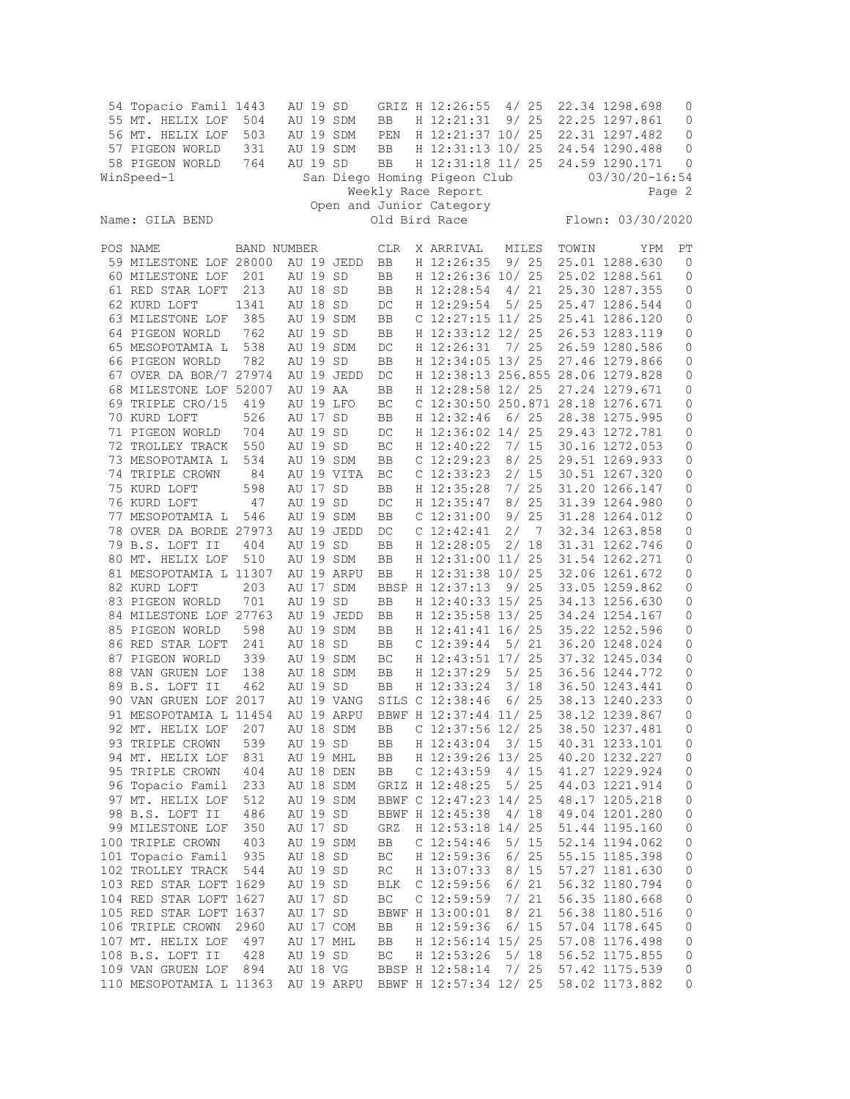|                                                          | 54 Topacio Famil 1443<br>55 MT. HELIX LOF<br>56 MT. HELIX LOF<br>57 PIGEON WORLD<br>58 PIGEON WORLD<br>WinSpeed-1 | 504<br>503<br>331<br>764 |  | AU 19 SD<br>AU 19 SD | AU 19 SDM<br>AU 19 SDM<br>AU 19 SDM | BB<br>PEN<br>BB<br>BB |  | GRIZ H 12:26:55<br>H 12:21:31<br>H 12:21:37 10/ 25<br>H 12:31:13 10/ 25<br>H 12:31:18 11/ 25<br>San Diego Homing Pigeon Club | 4/25  | 9/25         |       | 22.34 1298.698<br>22.25 1297.861<br>22.31 1297.482<br>24.54 1290.488<br>24.59 1290.171<br>03/30/20-16:54 | 0<br>$\mathbf 0$<br>0<br>0<br>0 |
|----------------------------------------------------------|-------------------------------------------------------------------------------------------------------------------|--------------------------|--|----------------------|-------------------------------------|-----------------------|--|------------------------------------------------------------------------------------------------------------------------------|-------|--------------|-------|----------------------------------------------------------------------------------------------------------|---------------------------------|
| Weekly Race Report<br>Page 2<br>Open and Junior Category |                                                                                                                   |                          |  |                      |                                     |                       |  |                                                                                                                              |       |              |       |                                                                                                          |                                 |
| Flown: 03/30/2020<br>Old Bird Race<br>Name: GILA BEND    |                                                                                                                   |                          |  |                      |                                     |                       |  |                                                                                                                              |       |              |       |                                                                                                          |                                 |
|                                                          | POS NAME                                                                                                          | <b>BAND NUMBER</b>       |  |                      |                                     | <b>CLR</b>            |  | X ARRIVAL                                                                                                                    | MILES |              | TOWIN | YPM                                                                                                      | РT                              |
|                                                          | 59 MILESTONE LOF 28000                                                                                            |                          |  |                      | AU 19 JEDD                          | BB                    |  | H 12:26:35                                                                                                                   |       | 9/25         |       | 25.01 1288.630                                                                                           | 0                               |
|                                                          | 60 MILESTONE LOF                                                                                                  | 201                      |  | AU 19 SD             |                                     | BB                    |  | H 12:26:36 10/ 25                                                                                                            |       |              |       | 25.02 1288.561                                                                                           | 0                               |
|                                                          | 61 RED STAR LOFT                                                                                                  | 213                      |  | AU 18 SD             |                                     | BB                    |  | H 12:28:54                                                                                                                   | 4/    | 21           |       | 25.30 1287.355                                                                                           | 0                               |
|                                                          | 62 KURD LOFT                                                                                                      | 1341                     |  | AU 18 SD             |                                     | DC                    |  | H 12:29:54                                                                                                                   |       | 5/25         |       | 25.47 1286.544                                                                                           | 0                               |
|                                                          | 63 MILESTONE LOF                                                                                                  | 385                      |  |                      | AU 19 SDM                           | BB                    |  | C $12:27:15$ $11/25$                                                                                                         |       |              |       | 25.41 1286.120                                                                                           | $\mathbb O$                     |
|                                                          | 64 PIGEON WORLD                                                                                                   | 762                      |  | AU 19 SD             |                                     | BB                    |  | H 12:33:12 12/ 25                                                                                                            |       |              |       | 26.53 1283.119                                                                                           | $\mathbb O$                     |
|                                                          | 65 MESOPOTAMIA L                                                                                                  | 538                      |  |                      | AU 19 SDM                           | DC                    |  | H 12:26:31                                                                                                                   |       | 7/25         |       | 26.59 1280.586                                                                                           | 0                               |
|                                                          | 66 PIGEON WORLD                                                                                                   | 782                      |  | AU 19 SD             |                                     | BB                    |  | H 12:34:05 13/ 25                                                                                                            |       |              |       | 27.46 1279.866                                                                                           | 0                               |
|                                                          | 67 OVER DA BOR/7 27974                                                                                            |                          |  |                      | AU 19 JEDD                          | DC                    |  | H 12:38:13 256.855                                                                                                           |       |              |       | 28.06 1279.828                                                                                           | 0                               |
|                                                          | 68 MILESTONE LOF 52007                                                                                            |                          |  | AU 19 AA             |                                     | BB                    |  | H 12:28:58 12/ 25                                                                                                            |       |              |       | 27.24 1279.671                                                                                           | $\mathbb O$                     |
|                                                          | 69 TRIPLE CRO/15                                                                                                  | 419                      |  |                      | AU 19 LFO                           | BC                    |  | C 12:30:50 250.871 28.18 1276.671                                                                                            |       |              |       |                                                                                                          | $\mathbb O$                     |
|                                                          | 70 KURD LOFT                                                                                                      | 526                      |  | AU 17 SD             |                                     | BB                    |  | H 12:32:46                                                                                                                   |       | $6/25$       |       | 28.38 1275.995                                                                                           | $\mathbb O$                     |
|                                                          | 71 PIGEON WORLD                                                                                                   | 704                      |  | AU 19 SD             |                                     | DC                    |  | H 12:36:02 14/ 25                                                                                                            |       |              |       | 29.43 1272.781                                                                                           | 0                               |
|                                                          | 72 TROLLEY TRACK                                                                                                  | 550                      |  | AU 19 SD             |                                     | BC                    |  | H 12:40:22                                                                                                                   |       | 7/15         |       | 30.16 1272.053                                                                                           | 0                               |
|                                                          | 73 MESOPOTAMIA L                                                                                                  | 534                      |  |                      | AU 19 SDM                           | BB                    |  | $C$ 12:29:23                                                                                                                 |       | 8/25         |       | 29.51 1269.933                                                                                           | 0                               |
|                                                          | 74 TRIPLE CROWN                                                                                                   | 84                       |  |                      | AU 19 VITA                          | BC                    |  | $C$ 12:33:23                                                                                                                 |       | 2/15         |       | 30.51 1267.320                                                                                           | $\mathbb O$                     |
|                                                          | 75 KURD LOFT                                                                                                      | 598                      |  | AU 17 SD             |                                     | BB                    |  | H 12:35:28                                                                                                                   |       | 7/25         |       | 31.20 1266.147                                                                                           | 0                               |
|                                                          | 76 KURD LOFT                                                                                                      | 47                       |  | AU 19 SD             |                                     | DC                    |  | H 12:35:47                                                                                                                   |       | 8/25         |       | 31.39 1264.980                                                                                           | 0                               |
|                                                          | 77 MESOPOTAMIA L                                                                                                  | 546                      |  |                      | AU 19 SDM                           | BB                    |  | $C$ 12:31:00                                                                                                                 |       | 9/25         |       | 31.28 1264.012                                                                                           | 0                               |
|                                                          | 78 OVER DA BORDE 27973                                                                                            |                          |  |                      | AU 19 JEDD                          | DC                    |  | $C$ 12:42:41                                                                                                                 | 2/    | 7            |       | 32.34 1263.858                                                                                           | $\mathbb O$                     |
|                                                          | 79 B.S. LOFT II                                                                                                   | 404                      |  | AU 19 SD             |                                     | BB                    |  | H 12:28:05                                                                                                                   |       | 2/18         |       | 31.31 1262.746                                                                                           | $\mathbf 0$                     |
|                                                          | 80 MT. HELIX LOF                                                                                                  | 510                      |  |                      | AU 19 SDM                           | BB                    |  | H 12:31:00 11/ 25                                                                                                            |       |              |       | 31.54 1262.271                                                                                           | 0                               |
|                                                          | 81 MESOPOTAMIA L 11307                                                                                            |                          |  |                      | AU 19 ARPU                          | BB                    |  | H 12:31:38 10/ 25                                                                                                            |       |              |       | 32.06 1261.672                                                                                           | $\mathbb O$                     |
|                                                          | 82 KURD LOFT                                                                                                      | 203                      |  |                      | AU 17 SDM                           |                       |  | BBSP H 12:37:13                                                                                                              |       | 9/25         |       | 33.05 1259.862                                                                                           | 0                               |
|                                                          | 83 PIGEON WORLD                                                                                                   | 701                      |  | AU 19 SD             |                                     | BB                    |  | H 12:40:33 15/ 25                                                                                                            |       |              |       | 34.13 1256.630                                                                                           | $\mathbb O$                     |
|                                                          | 84 MILESTONE LOF 27763                                                                                            |                          |  |                      | AU 19 JEDD                          | BB                    |  | H 12:35:58 13/ 25                                                                                                            |       |              |       | 34.24 1254.167                                                                                           | 0                               |
|                                                          | 85 PIGEON WORLD                                                                                                   | 598                      |  |                      | AU 19 SDM                           | BB                    |  | H 12:41:41 16/ 25                                                                                                            |       |              |       | 35.22 1252.596                                                                                           | 0                               |
|                                                          | 86 RED STAR LOFT                                                                                                  | 241                      |  | AU 18 SD             |                                     | BB                    |  | $C$ 12:39:44                                                                                                                 |       | 5/21         |       | 36.20 1248.024                                                                                           | 0                               |
|                                                          | 87 PIGEON WORLD                                                                                                   | 339                      |  |                      | AU 19 SDM                           | ВC                    |  | H 12:43:51 17/ 25                                                                                                            |       |              |       | 37.32 1245.034                                                                                           | 0                               |
|                                                          | 88 VAN GRUEN LOF                                                                                                  | 138                      |  |                      | AU 18 SDM                           | BB                    |  | H 12:37:29                                                                                                                   |       | 5/25         |       | 36.56 1244.772                                                                                           | 0                               |
|                                                          | 89 B.S. LOFT II                                                                                                   | 462                      |  | AU 19 SD             |                                     | BB                    |  | H 12:33:24                                                                                                                   |       | 3/18<br>6/25 |       | 36.50 1243.441                                                                                           | $\mathbf 0$                     |
|                                                          | 90 VAN GRUEN LOF 2017                                                                                             |                          |  |                      | AU 19 VANG                          |                       |  | SILS C 12:38:46<br>BBWF H 12:37:44 11/ 25                                                                                    |       |              |       | 38.13 1240.233                                                                                           | 0                               |
|                                                          | 91 MESOPOTAMIA L 11454                                                                                            |                          |  |                      | AU 19 ARPU                          |                       |  | C 12:37:56 12/ 25                                                                                                            |       |              |       | 38.12 1239.867                                                                                           | $\mathbf{0}$                    |
|                                                          | 92 MT. HELIX LOF                                                                                                  | 207                      |  |                      | AU 18 SDM                           | BB                    |  |                                                                                                                              |       |              |       | 38.50 1237.481                                                                                           | 0                               |
|                                                          | 93 TRIPLE CROWN                                                                                                   | 539                      |  | AU 19 SD             |                                     | BB                    |  | H 12:43:04                                                                                                                   | 3/ 15 |              |       | 40.31 1233.101                                                                                           | 0                               |
|                                                          | 94 MT. HELIX LOF                                                                                                  | 831                      |  |                      | AU 19 MHL                           | BB                    |  | H 12:39:26 13/ 25                                                                                                            |       |              |       | 40.20 1232.227                                                                                           | $\mathbb O$                     |
|                                                          | 95 TRIPLE CROWN                                                                                                   | 404                      |  |                      | AU 18 DEN                           | BB                    |  | $C$ 12:43:59                                                                                                                 |       | 4/15         |       | 41.27 1229.924                                                                                           | 0                               |
|                                                          | 96 Topacio Famil                                                                                                  | 233                      |  |                      | AU 18 SDM                           |                       |  | GRIZ H 12:48:25                                                                                                              |       | 5/25         |       | 44.03 1221.914                                                                                           | $\mathbb O$                     |
|                                                          | 97 MT. HELIX LOF                                                                                                  | 512                      |  |                      | AU 19 SDM                           |                       |  | BBWF C 12:47:23 14/ 25                                                                                                       |       |              |       | 48.17 1205.218                                                                                           | $\mathsf{O}\xspace$             |
|                                                          | 98 B.S. LOFT II                                                                                                   | 486                      |  | AU 19 SD             |                                     |                       |  | BBWF H 12:45:38                                                                                                              |       | 4/18         |       | 49.04 1201.280                                                                                           | $\mathbb O$                     |
|                                                          | 99 MILESTONE LOF                                                                                                  | 350                      |  | AU 17 SD             |                                     | GRZ                   |  | H 12:53:18 14/ 25                                                                                                            |       |              |       | 51.44 1195.160                                                                                           | $\mathbb O$                     |
|                                                          | 100 TRIPLE CROWN                                                                                                  | 403                      |  |                      | AU 19 SDM                           | BB                    |  | $C$ 12:54:46                                                                                                                 |       | 5/15         |       | 52.14 1194.062                                                                                           | 0                               |
|                                                          | 101 Topacio Famil                                                                                                 | 935                      |  | AU 18 SD             |                                     | ВC                    |  | H 12:59:36                                                                                                                   |       | 6/25         |       | 55.15 1185.398                                                                                           | $\mathbb O$                     |
|                                                          | 102 TROLLEY TRACK                                                                                                 | 544                      |  | AU 19 SD             |                                     | RC                    |  | H 13:07:33                                                                                                                   |       | 8/15         |       | 57.27 1181.630                                                                                           | 0                               |
|                                                          | 103 RED STAR LOFT 1629                                                                                            |                          |  | AU 19 SD             |                                     | BLK                   |  | $C$ 12:59:56                                                                                                                 |       | 6/21         |       | 56.32 1180.794                                                                                           | 0                               |
|                                                          | 104 RED STAR LOFT 1627                                                                                            |                          |  | AU 17 SD             |                                     | $\operatorname{BC}$   |  | $C$ 12:59:59                                                                                                                 |       | 7/21         |       | 56.35 1180.668                                                                                           | $\mathbb O$                     |
|                                                          | 105 RED STAR LOFT 1637                                                                                            |                          |  | AU 17 SD             |                                     |                       |  | BBWF H 13:00:01                                                                                                              |       | 8/21         |       | 56.38 1180.516                                                                                           | 0                               |
|                                                          | 106 TRIPLE CROWN                                                                                                  | 2960                     |  |                      | AU 17 COM                           | BB                    |  | H 12:59:36                                                                                                                   |       | 6/15         |       | 57.04 1178.645                                                                                           | 0                               |
|                                                          | 107 MT. HELIX LOF                                                                                                 | 497                      |  |                      | AU 17 MHL                           | BB                    |  | H 12:56:14 15/ 25                                                                                                            |       |              |       | 57.08 1176.498                                                                                           | $\mathbb O$                     |
|                                                          | 108 B.S. LOFT II                                                                                                  | 428                      |  | AU 19 SD             |                                     | ВC                    |  | H 12:53:26                                                                                                                   |       | 5/18         |       | 56.52 1175.855                                                                                           | 0                               |
|                                                          | 109 VAN GRUEN LOF                                                                                                 | 894                      |  | AU 18 VG             |                                     |                       |  | BBSP H 12:58:14                                                                                                              |       | 7/25         |       | 57.42 1175.539                                                                                           | 0                               |
|                                                          | 110 MESOPOTAMIA L 11363                                                                                           |                          |  |                      | AU 19 ARPU                          |                       |  | BBWF H 12:57:34 12/ 25                                                                                                       |       |              |       | 58.02 1173.882                                                                                           | 0                               |